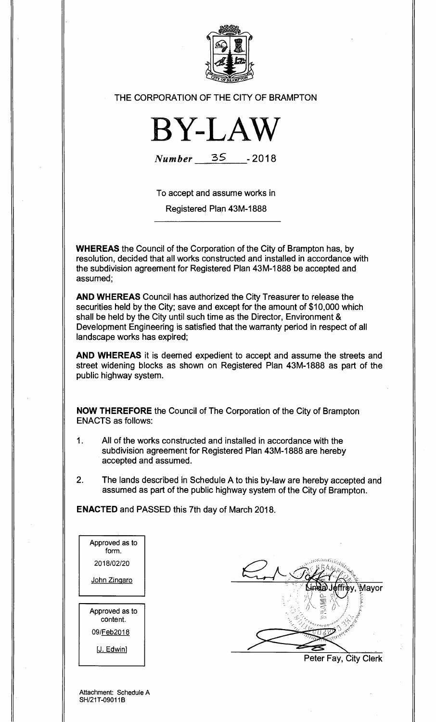

THE CORPORATION OF THE CITY OF BRAMPTON



**Number 35 -2018** 

To accept and assume works in

Registered Plan 43M-1888

**WHEREAS** the Council of the Corporation of the City of Brampton has, by resolution, decided that all works constructed and installed in accordance with the subdivision agreement for Registered Plan 43M-1888 be accepted and assumed;

**AND WHEREAS** Council has authorized the City Treasurer to release the securities held by the City; save and except for the amount of \$10,000 which shall be held by the City until such time as the Director, Environment & Development Engineering is satisfied that the warranty period in respect of all landscape works has expired;

**AND WHEREAS** it is deemed expedient to accept and assume the streets and street widening blocks as shown on Registered Plan 43M-1888 as part of the public highway system.

**NOW THEREFORE** the Council of The Corporation of the City of Brampton ENACTS as follows:

- 1. All of the works constructed and installed in accordance with the subdivision agreement for Registered Plan 43M-1888 are hereby accepted and assumed.
- 2. The lands described in Schedule A to this by-law are hereby accepted and assumed as part of the public highway system of the City of Brampton.

**ENACTED** and PASSED this 7th day of March 2018.

Aavor

Peter Fay, City Clerk

Attachment: Schedule A SH/21T-09011B